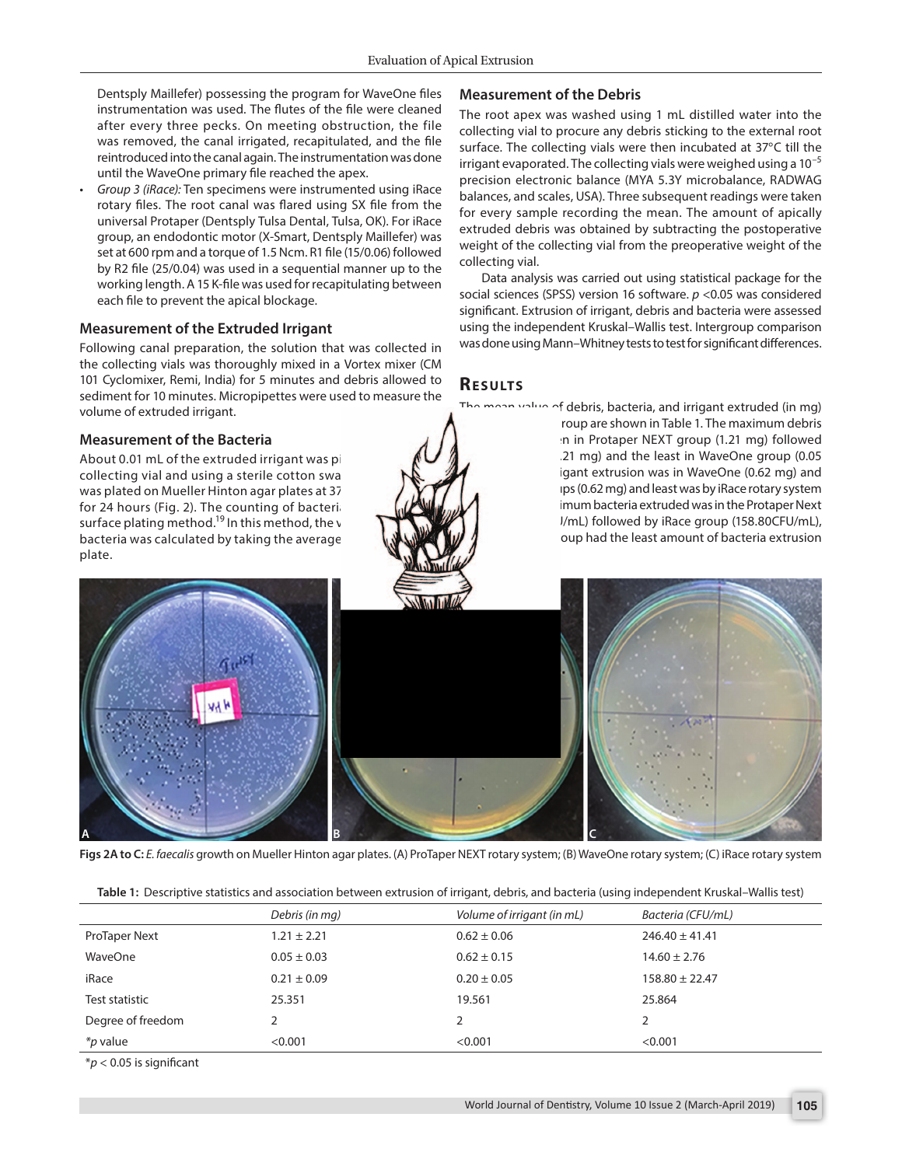Dentsply Maillefer) possessing the program for WaveOne files instrumentation was used. The flutes of the file were cleaned after every three pecks. On meeting obstruction, the file was removed, the canal irrigated, recapitulated, and the file reintroduced into the canal again. The instrumentation was done until the WaveOne primary file reached the apex.

*• Group 3 (iRace):* Ten specimens were instrumented using iRace rotary files. The root canal was flared using SX file from the universal Protaper (Dentsply Tulsa Dental, Tulsa, OK). For iRace group, an endodontic motor (X-Smart, Dentsply Maillefer) was set at 600 rpm and a torque of 1.5 Ncm. R1 file (15/0.06) followed by R2 file (25/0.04) was used in a sequential manner up to the working length. A 15 K-file was used for recapitulating between each file to prevent the apical blockage.

### **Measurement of the Extruded Irrigant**

Following canal preparation, the solution that was collected in the collecting vials was thoroughly mixed in a Vortex mixer (CM 101 Cyclomixer, Remi, India) for 5 minutes and debris allowed to sediment for 10 minutes. Micropipettes were used to measure the volume of extruded irrigant.

### **Measurement of the Bacteria**

About 0.01 mL of the extruded irrigant was pipetted out of the collecting vial and using a sterile cotton swab the suspension was plated on Mueller Hinton agar plates at 37°C and incubated for 24 hours (Fig. 2). The counting of bacteria was done using surface plating method.<sup>19</sup> In this method, the viable count of the bacteria was calculated by taking the average colony count per plate.

## **Measurement of the Debris**

The root apex was washed using 1 mL distilled water into the collecting vial to procure any debris sticking to the external root surface. The collecting vials were then incubated at 37°C till the irrigant evaporated. The collecting vials were weighed using a  $10^{-5}$ precision electronic balance (MYA 5.3Y microbalance, RADWAG balances, and scales, USA). Three subsequent readings were taken for every sample recording the mean. The amount of apically extruded debris was obtained by subtracting the postoperative weight of the collecting vial from the preoperative weight of the collecting vial.

Data analysis was carried out using statistical package for the social sciences (SPSS) version 16 software. *p* <0.05 was considered significant. Extrusion of irrigant, debris and bacteria were assessed using the independent Kruskal–Wallis test. Intergroup comparison was done using Mann–Whitney tests to test for significant differences.

### **RESULTS**

The mean value of debris, bacteria, and irrigant extruded (in mg) obtained in each group are shown in Table 1. The maximum debris extrusion was seen in Protaper NEXT group (1.21 mg) followed by iRace group (0.21 mg) and the least in WaveOne group (0.05 mg). Maximum irrigant extrusion was in WaveOne (0.62 mg) and Protaper Next groups (0.62 mg) and least was by iRace rotary system (0.20 mg). The maximum bacteria extruded was in the Protaper Next group (246.40 CFU/mL) followed by iRace group (158.80CFU/mL), while WaveOne group had the least amount of bacteria extrusion (14.60 CFU/mL).



**Figs 2A to C:** *E. faecalis* growth on Mueller Hinton agar plates. (A) ProTaper NEXT rotary system; (B) WaveOne rotary system; (C) iRace rotary system

|  |  | Table 1: Descriptive statistics and association between extrusion of irrigant, debris, and bacteria (using independent Kruskal–Wallis test) |  |  |
|--|--|---------------------------------------------------------------------------------------------------------------------------------------------|--|--|
|  |  |                                                                                                                                             |  |  |

|                   | Debris (in mg)  | Volume of irrigant (in mL) | Bacteria (CFU/mL)  |
|-------------------|-----------------|----------------------------|--------------------|
| ProTaper Next     | $1.21 \pm 2.21$ | $0.62 \pm 0.06$            | $246.40 \pm 41.41$ |
| WaveOne           | $0.05 \pm 0.03$ | $0.62 \pm 0.15$            | $14.60 \pm 2.76$   |
| iRace             | $0.21 \pm 0.09$ | $0.20 \pm 0.05$            | $158.80 \pm 22.47$ |
| Test statistic    | 25.351          | 19.561                     | 25.864             |
| Degree of freedom |                 |                            |                    |
| <i>*p</i> value   | < 0.001         | < 0.001                    | < 0.001            |

\**p* < 0.05 is significant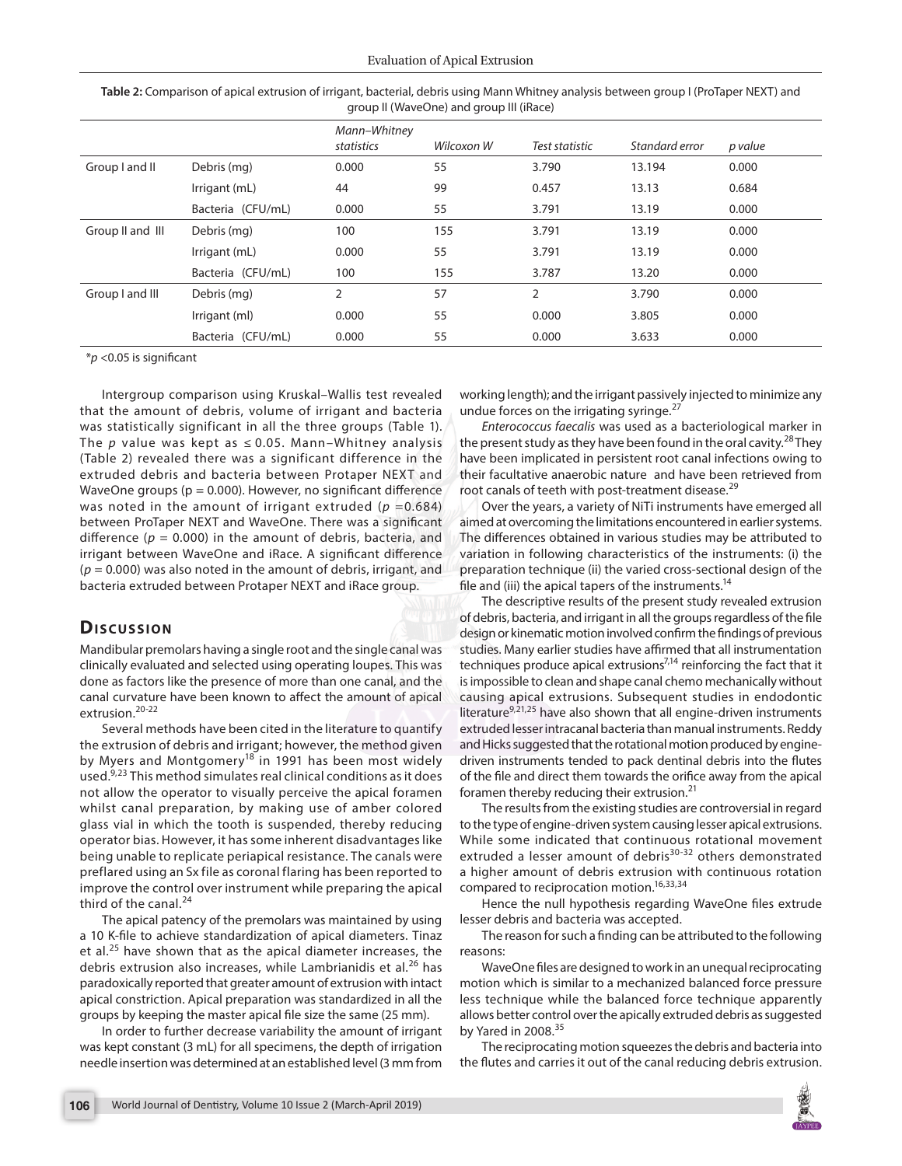| Table 2: Comparison of apical extrusion of irrigant, bacterial, debris using Mann Whitney analysis between group I (ProTaper NEXT) and |
|----------------------------------------------------------------------------------------------------------------------------------------|
| group II (WaveOne) and group III (iRace)                                                                                               |

|                  |                   | Mann-Whitney<br>statistics | Wilcoxon W | Test statistic | Standard error | p value |
|------------------|-------------------|----------------------------|------------|----------------|----------------|---------|
| Group I and II   | Debris (mg)       | 0.000                      | 55         | 3.790          | 13.194         | 0.000   |
|                  | Irrigant (mL)     | 44                         | 99         | 0.457          | 13.13          | 0.684   |
|                  | Bacteria (CFU/mL) | 0.000                      | 55         | 3.791          | 13.19          | 0.000   |
| Group II and III | Debris (mg)       | 100                        | 155        | 3.791          | 13.19          | 0.000   |
|                  | Irrigant (mL)     | 0.000                      | 55         | 3.791          | 13.19          | 0.000   |
|                  | Bacteria (CFU/mL) | 100                        | 155        | 3.787          | 13.20          | 0.000   |
| Group I and III  | Debris (mg)       | 2                          | 57         | 2              | 3.790          | 0.000   |
|                  | Irrigant (ml)     | 0.000                      | 55         | 0.000          | 3.805          | 0.000   |
|                  | Bacteria (CFU/mL) | 0.000                      | 55         | 0.000          | 3.633          | 0.000   |

\**p* <0.05 is significant

Intergroup comparison using Kruskal–Wallis test revealed that the amount of debris, volume of irrigant and bacteria was statistically significant in all the three groups (Table 1). The  $p$  value was kept as  $\leq$  0.05. Mann–Whitney analysis (Table 2) revealed there was a significant difference in the extruded debris and bacteria between Protaper NEXT and WaveOne groups ( $p = 0.000$ ). However, no significant difference was noted in the amount of irrigant extruded ( $p = 0.684$ ) between ProTaper NEXT and WaveOne. There was a significant difference ( $p = 0.000$ ) in the amount of debris, bacteria, and irrigant between WaveOne and iRace. A significant difference (*p* = 0.000) was also noted in the amount of debris, irrigant, and bacteria extruded between Protaper NEXT and iRace group.

# **Discussion**

Mandibular premolars having a single root and the single canal was clinically evaluated and selected using operating loupes. This was done as factors like the presence of more than one canal, and the canal curvature have been known to affect the amount of apical extrusion.<sup>20-22</sup>

Several methods have been cited in the literature to quantify the extrusion of debris and irrigant; however, the method given by Myers and Montgomery<sup>18</sup> in 1991 has been most widely used.9,23 This method simulates real clinical conditions as it does not allow the operator to visually perceive the apical foramen whilst canal preparation, by making use of amber colored glass vial in which the tooth is suspended, thereby reducing operator bias. However, it has some inherent disadvantages like being unable to replicate periapical resistance. The canals were preflared using an Sx file as coronal flaring has been reported to improve the control over instrument while preparing the apical third of the canal. $^{24}$ 

The apical patency of the premolars was maintained by using a 10 K-file to achieve standardization of apical diameters. Tinaz et al.<sup>25</sup> have shown that as the apical diameter increases, the debris extrusion also increases, while Lambrianidis et al.<sup>26</sup> has paradoxically reported that greater amount of extrusion with intact apical constriction. Apical preparation was standardized in all the groups by keeping the master apical file size the same (25 mm).

In order to further decrease variability the amount of irrigant was kept constant (3 mL) for all specimens, the depth of irrigation needle insertion was determined at an established level (3 mm from working length); and the irrigant passively injected to minimize any undue forces on the irrigating syringe.<sup>27</sup>

*Enterococcus faecalis* was used as a bacteriological marker in the present study as they have been found in the oral cavity.<sup>28</sup> They have been implicated in persistent root canal infections owing to their facultative anaerobic nature and have been retrieved from root canals of teeth with post-treatment disease.<sup>29</sup>

Over the years, a variety of NiTi instruments have emerged all aimed at overcoming the limitations encountered in earlier systems. The differences obtained in various studies may be attributed to variation in following characteristics of the instruments: (i) the preparation technique (ii) the varied cross-sectional design of the file and (iii) the apical tapers of the instruments.<sup>14</sup>

The descriptive results of the present study revealed extrusion of debris, bacteria, and irrigant in all the groups regardless of the file design or kinematic motion involved confirm the findings of previous studies. Many earlier studies have affirmed that all instrumentation techniques produce apical extrusions<sup>7,14</sup> reinforcing the fact that it is impossible to clean and shape canal chemo mechanically without causing apical extrusions. Subsequent studies in endodontic literature<sup>9,21,25</sup> have also shown that all engine-driven instruments extruded lesser intracanal bacteria than manual instruments. Reddy and Hicks suggested that the rotational motion produced by enginedriven instruments tended to pack dentinal debris into the flutes of the file and direct them towards the orifice away from the apical foramen thereby reducing their extrusion. $21$ 

The results from the existing studies are controversial in regard to the type of engine-driven system causing lesser apical extrusions. While some indicated that continuous rotational movement extruded a lesser amount of debris<sup>30-32</sup> others demonstrated a higher amount of debris extrusion with continuous rotation compared to reciprocation motion.<sup>16,33,34</sup>

Hence the null hypothesis regarding WaveOne files extrude lesser debris and bacteria was accepted.

The reason for such a finding can be attributed to the following reasons:

WaveOne files are designed to work in an unequal reciprocating motion which is similar to a mechanized balanced force pressure less technique while the balanced force technique apparently allows better control over the apically extruded debris as suggested by Yared in 2008. $35$ 

The reciprocating motion squeezes the debris and bacteria into the flutes and carries it out of the canal reducing debris extrusion.